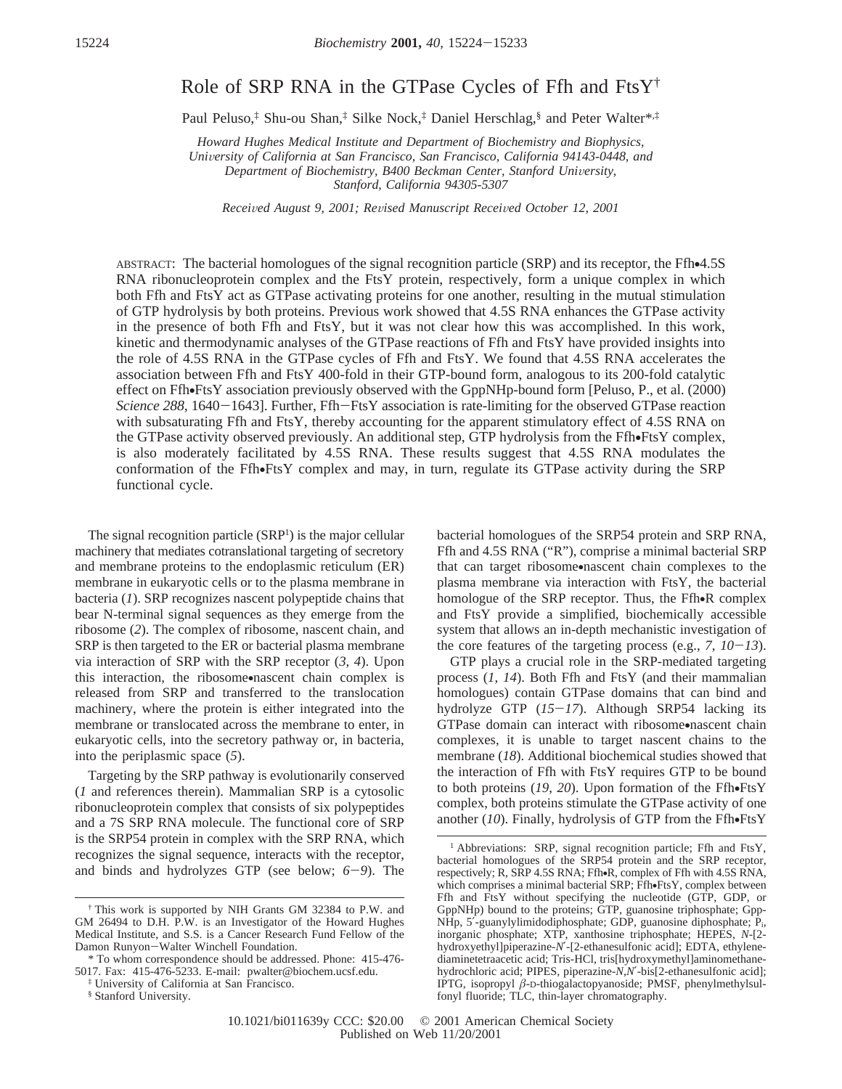# Role of SRP RNA in the GTPase Cycles of Ffh and  $FtsY^{\dagger}$

Paul Peluso,‡ Shu-ou Shan,‡ Silke Nock,‡ Daniel Herschlag,§ and Peter Walter\*,‡

*Howard Hughes Medical Institute and Department of Biochemistry and Biophysics,* University of California at San Francisco, San Francisco, California 94143-0448, and *Department of Biochemistry, B400 Beckman Center, Stanford University, Stanford, California 94305-5307*

*Recei*V*ed August 9, 2001; Re*V*ised Manuscript Recei*V*ed October 12, 2001*

ABSTRACT: The bacterial homologues of the signal recognition particle (SRP) and its receptor, the Ffh•4.5S RNA ribonucleoprotein complex and the FtsY protein, respectively, form a unique complex in which both Ffh and FtsY act as GTPase activating proteins for one another, resulting in the mutual stimulation of GTP hydrolysis by both proteins. Previous work showed that 4.5S RNA enhances the GTPase activity in the presence of both Ffh and FtsY, but it was not clear how this was accomplished. In this work, kinetic and thermodynamic analyses of the GTPase reactions of Ffh and FtsY have provided insights into the role of 4.5S RNA in the GTPase cycles of Ffh and FtsY. We found that 4.5S RNA accelerates the association between Ffh and FtsY 400-fold in their GTP-bound form, analogous to its 200-fold catalytic effect on Ffh•FtsY association previously observed with the GppNHp-bound form [Peluso, P., et al. (2000) *Science 288*, 1640-1643]. Further, Ffh-FtsY association is rate-limiting for the observed GTPase reaction with subsaturating Ffh and FtsY, thereby accounting for the apparent stimulatory effect of 4.5S RNA on the GTPase activity observed previously. An additional step, GTP hydrolysis from the Ffh•FtsY complex, is also moderately facilitated by 4.5S RNA. These results suggest that 4.5S RNA modulates the conformation of the Ffh•FtsY complex and may, in turn, regulate its GTPase activity during the SRP functional cycle.

The signal recognition particle (SRP<sup>1</sup>) is the major cellular machinery that mediates cotranslational targeting of secretory and membrane proteins to the endoplasmic reticulum (ER) membrane in eukaryotic cells or to the plasma membrane in bacteria (*1*). SRP recognizes nascent polypeptide chains that bear N-terminal signal sequences as they emerge from the ribosome (*2*). The complex of ribosome, nascent chain, and SRP is then targeted to the ER or bacterial plasma membrane via interaction of SRP with the SRP receptor (*3*, *4*). Upon this interaction, the ribosome•nascent chain complex is released from SRP and transferred to the translocation machinery, where the protein is either integrated into the membrane or translocated across the membrane to enter, in eukaryotic cells, into the secretory pathway or, in bacteria, into the periplasmic space (*5*).

Targeting by the SRP pathway is evolutionarily conserved (*1* and references therein). Mammalian SRP is a cytosolic ribonucleoprotein complex that consists of six polypeptides and a 7S SRP RNA molecule. The functional core of SRP is the SRP54 protein in complex with the SRP RNA, which recognizes the signal sequence, interacts with the receptor, and binds and hydrolyzes GTP (see below; *<sup>6</sup>*-*9*). The

- \* To whom correspondence should be addressed. Phone: 415-476- 5017. Fax: 415-476-5233. E-mail: pwalter@biochem.ucsf.edu.
	- ‡ University of California at San Francisco.

bacterial homologues of the SRP54 protein and SRP RNA, Ffh and 4.5S RNA ("R"), comprise a minimal bacterial SRP that can target ribosome•nascent chain complexes to the plasma membrane via interaction with FtsY, the bacterial homologue of the SRP receptor. Thus, the Ffh•R complex and FtsY provide a simplified, biochemically accessible system that allows an in-depth mechanistic investigation of the core features of the targeting process (e.g.,  $7$ ,  $10-13$ ).

GTP plays a crucial role in the SRP-mediated targeting process (*1*, *14*). Both Ffh and FtsY (and their mammalian homologues) contain GTPase domains that can bind and hydrolyze GTP (*15*-*17*). Although SRP54 lacking its GTPase domain can interact with ribosome•nascent chain complexes, it is unable to target nascent chains to the membrane (*18*). Additional biochemical studies showed that the interaction of Ffh with FtsY requires GTP to be bound to both proteins (*19*, *<sup>20</sup>*). Upon formation of the Ffh•FtsY complex, both proteins stimulate the GTPase activity of one another (*10*). Finally, hydrolysis of GTP from the Ffh•FtsY

<sup>†</sup> This work is supported by NIH Grants GM 32384 to P.W. and GM 26494 to D.H. P.W. is an Investigator of the Howard Hughes Medical Institute, and S.S. is a Cancer Research Fund Fellow of the Damon Runyon-Walter Winchell Foundation.

<sup>§</sup> Stanford University.

<sup>&</sup>lt;sup>1</sup> Abbreviations: SRP, signal recognition particle; Ffh and FtsY, bacterial homologues of the SRP54 protein and the SRP receptor, respectively; R, SRP 4.5S RNA; Ffh•R, complex of Ffh with 4.5S RNA, which comprises a minimal bacterial SRP; Ffh•FtsY, complex between Ffh and FtsY without specifying the nucleotide (GTP, GDP, or GppNHp) bound to the proteins; GTP, guanosine triphosphate; Gpp-NHp, 5′-guanylylimidodiphosphate; GDP, guanosine diphosphate; Pi, inorganic phosphate; XTP, xanthosine triphosphate; HEPES, *N*-[2 hydroxyethyl]piperazine-*N*′-[2-ethanesulfonic acid]; EDTA, ethylenediaminetetraacetic acid; Tris-HCl, tris[hydroxymethyl]aminomethanehydrochloric acid; PIPES, piperazine-*N*,*N*′-bis[2-ethanesulfonic acid]; IPTG, isopropyl *â*-D-thiogalactopyanoside; PMSF, phenylmethylsulfonyl fluoride; TLC, thin-layer chromatography.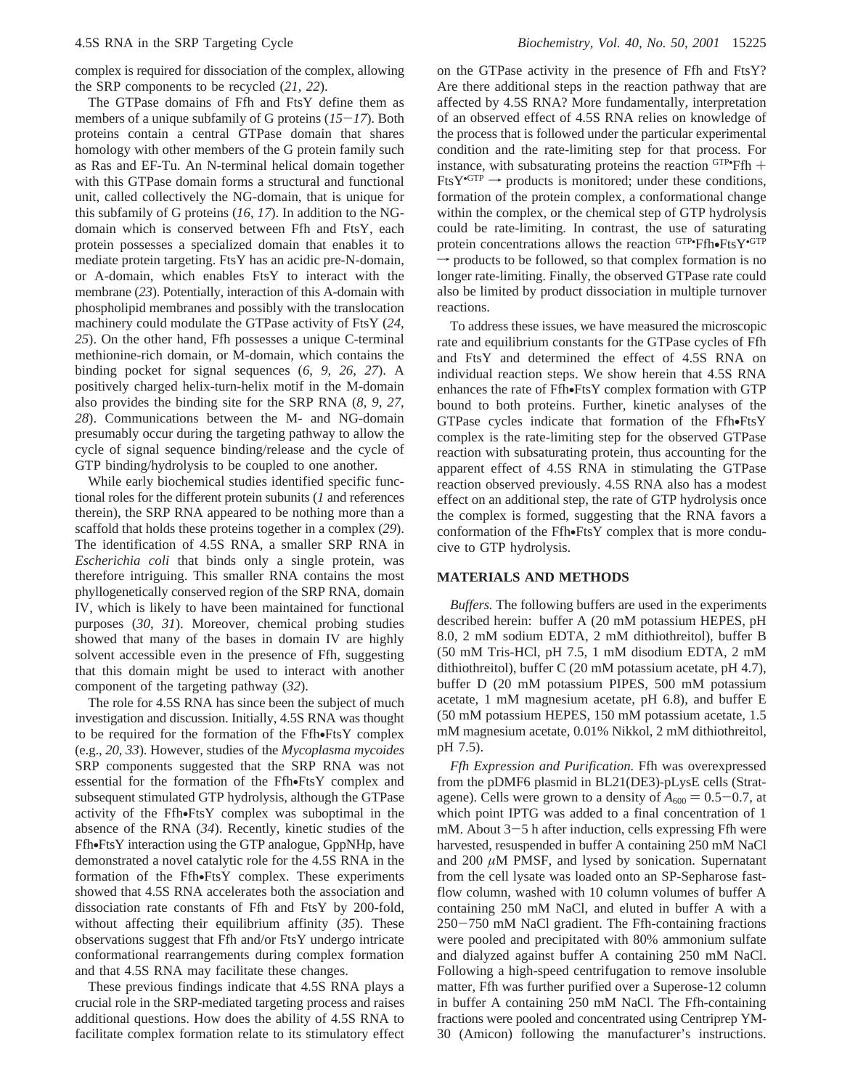complex is required for dissociation of the complex, allowing the SRP components to be recycled (*21*, *22*).

The GTPase domains of Ffh and FtsY define them as members of a unique subfamily of G proteins (*15*-*17*). Both proteins contain a central GTPase domain that shares homology with other members of the G protein family such as Ras and EF-Tu. An N-terminal helical domain together with this GTPase domain forms a structural and functional unit, called collectively the NG-domain, that is unique for this subfamily of G proteins (*16*, *17*). In addition to the NGdomain which is conserved between Ffh and FtsY, each protein possesses a specialized domain that enables it to mediate protein targeting. FtsY has an acidic pre-N-domain, or A-domain, which enables FtsY to interact with the membrane (*23*). Potentially, interaction of this A-domain with phospholipid membranes and possibly with the translocation machinery could modulate the GTPase activity of FtsY (*24*, *25*). On the other hand, Ffh possesses a unique C-terminal methionine-rich domain, or M-domain, which contains the binding pocket for signal sequences (*6*, *9*, *26*, *27*). A positively charged helix-turn-helix motif in the M-domain also provides the binding site for the SRP RNA (*8*, *9*, *27*, *28*). Communications between the M- and NG-domain presumably occur during the targeting pathway to allow the cycle of signal sequence binding/release and the cycle of GTP binding/hydrolysis to be coupled to one another.

While early biochemical studies identified specific functional roles for the different protein subunits (*1* and references therein), the SRP RNA appeared to be nothing more than a scaffold that holds these proteins together in a complex (*29*). The identification of 4.5S RNA, a smaller SRP RNA in *Escherichia coli* that binds only a single protein, was therefore intriguing. This smaller RNA contains the most phyllogenetically conserved region of the SRP RNA, domain IV, which is likely to have been maintained for functional purposes (*30*, *31*). Moreover, chemical probing studies showed that many of the bases in domain IV are highly solvent accessible even in the presence of Ffh, suggesting that this domain might be used to interact with another component of the targeting pathway (*32*).

The role for 4.5S RNA has since been the subject of much investigation and discussion. Initially, 4.5S RNA was thought to be required for the formation of the Ffh•FtsY complex (e.g., *20*, *33*). However, studies of the *Mycoplasma mycoides* SRP components suggested that the SRP RNA was not essential for the formation of the Ffh•FtsY complex and subsequent stimulated GTP hydrolysis, although the GTPase activity of the Ffh•FtsY complex was suboptimal in the absence of the RNA (*34*). Recently, kinetic studies of the Ffh•FtsY interaction using the GTP analogue, GppNHp, have demonstrated a novel catalytic role for the 4.5S RNA in the formation of the Ffh•FtsY complex. These experiments showed that 4.5S RNA accelerates both the association and dissociation rate constants of Ffh and FtsY by 200-fold, without affecting their equilibrium affinity (*35*). These observations suggest that Ffh and/or FtsY undergo intricate conformational rearrangements during complex formation and that 4.5S RNA may facilitate these changes.

These previous findings indicate that 4.5S RNA plays a crucial role in the SRP-mediated targeting process and raises additional questions. How does the ability of 4.5S RNA to facilitate complex formation relate to its stimulatory effect

on the GTPase activity in the presence of Ffh and FtsY? Are there additional steps in the reaction pathway that are affected by 4.5S RNA? More fundamentally, interpretation of an observed effect of 4.5S RNA relies on knowledge of the process that is followed under the particular experimental condition and the rate-limiting step for that process. For instance, with subsaturating proteins the reaction  $GTP \cdot Ffh$  +  $FtsY \cdot GTP \rightarrow$  products is monitored; under these conditions  $FtsY^{\bullet GTP} \rightarrow$  products is monitored; under these conditions, formation of the protein complex, a conformational change within the complex, or the chemical step of GTP hydrolysis could be rate-limiting. In contrast, the use of saturating protein concentrations allows the reaction  $GTP$ • $Ffb$ • $FtsY$ • $GTP$ <br>  $\rightarrow$  products to be followed, so that complex formation is no  $\rightarrow$  products to be followed, so that complex formation is no longer rate-limiting. Finally, the observed GTPase rate could also be limited by product dissociation in multiple turnover reactions.

To address these issues, we have measured the microscopic rate and equilibrium constants for the GTPase cycles of Ffh and FtsY and determined the effect of 4.5S RNA on individual reaction steps. We show herein that 4.5S RNA enhances the rate of Ffh•FtsY complex formation with GTP bound to both proteins. Further, kinetic analyses of the GTPase cycles indicate that formation of the Ffh•FtsY complex is the rate-limiting step for the observed GTPase reaction with subsaturating protein, thus accounting for the apparent effect of 4.5S RNA in stimulating the GTPase reaction observed previously. 4.5S RNA also has a modest effect on an additional step, the rate of GTP hydrolysis once the complex is formed, suggesting that the RNA favors a conformation of the Ffh•FtsY complex that is more conducive to GTP hydrolysis.

#### **MATERIALS AND METHODS**

*Buffers.* The following buffers are used in the experiments described herein: buffer A (20 mM potassium HEPES, pH 8.0, 2 mM sodium EDTA, 2 mM dithiothreitol), buffer B (50 mM Tris-HCl, pH 7.5, 1 mM disodium EDTA, 2 mM dithiothreitol), buffer C (20 mM potassium acetate, pH 4.7), buffer D (20 mM potassium PIPES, 500 mM potassium acetate, 1 mM magnesium acetate, pH 6.8), and buffer E (50 mM potassium HEPES, 150 mM potassium acetate, 1.5 mM magnesium acetate, 0.01% Nikkol, 2 mM dithiothreitol, pH 7.5).

*Ffh Expression and Purification.* Ffh was overexpressed from the pDMF6 plasmid in BL21(DE3)-pLysE cells (Stratagene). Cells were grown to a density of  $A_{600} = 0.5-0.7$ , at which point IPTG was added to a final concentration of 1 mM. About  $3-5$  h after induction, cells expressing Ffh were harvested, resuspended in buffer A containing 250 mM NaCl and 200  $\mu$ M PMSF, and lysed by sonication. Supernatant from the cell lysate was loaded onto an SP-Sepharose fastflow column, washed with 10 column volumes of buffer A containing 250 mM NaCl, and eluted in buffer A with a <sup>250</sup>-750 mM NaCl gradient. The Ffh-containing fractions were pooled and precipitated with 80% ammonium sulfate and dialyzed against buffer A containing 250 mM NaCl. Following a high-speed centrifugation to remove insoluble matter, Ffh was further purified over a Superose-12 column in buffer A containing 250 mM NaCl. The Ffh-containing fractions were pooled and concentrated using Centriprep YM-30 (Amicon) following the manufacturer's instructions.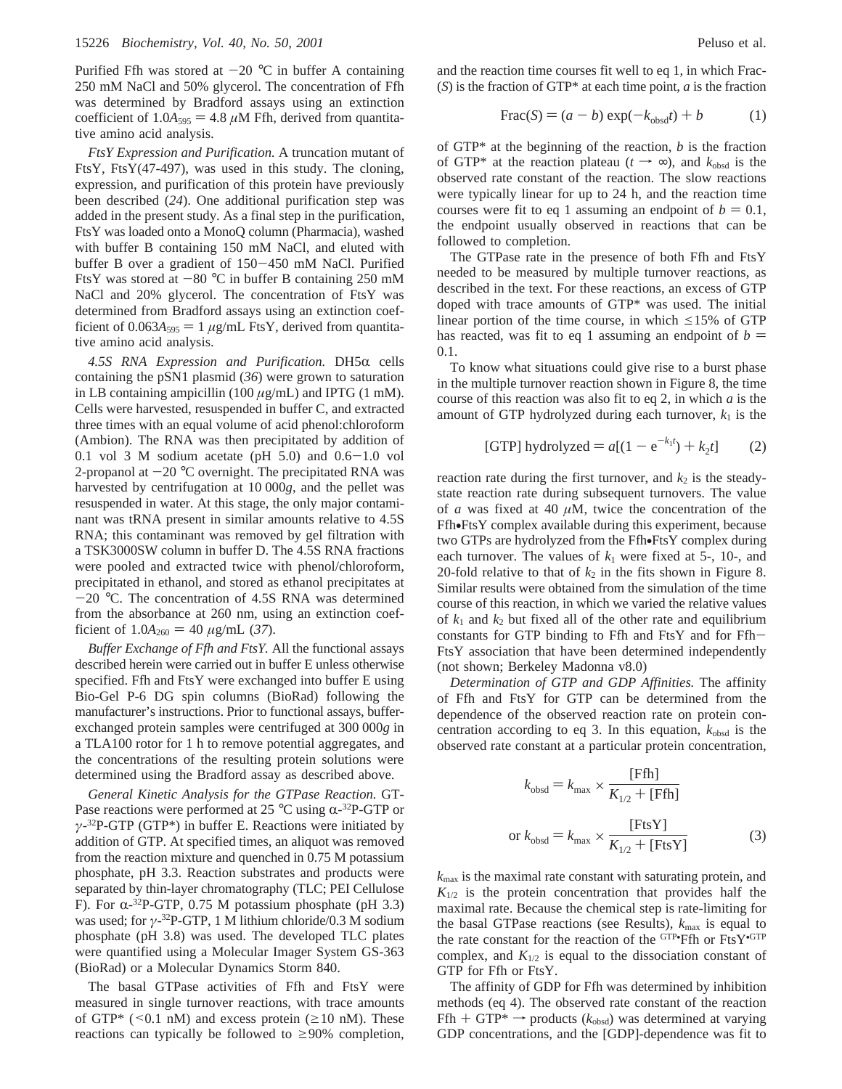Purified Ffh was stored at  $-20$  °C in buffer A containing 250 mM NaCl and 50% glycerol. The concentration of Ffh was determined by Bradford assays using an extinction coefficient of  $1.0A_{595} = 4.8 \mu M$  Ffh, derived from quantitative amino acid analysis.

*FtsY Expression and Purification.* A truncation mutant of FtsY, FtsY(47-497), was used in this study. The cloning, expression, and purification of this protein have previously been described (*24*). One additional purification step was added in the present study. As a final step in the purification, FtsY was loaded onto a MonoQ column (Pharmacia), washed with buffer B containing 150 mM NaCl, and eluted with buffer B over a gradient of 150-450 mM NaCl. Purified FtsY was stored at  $-80$  °C in buffer B containing 250 mM NaCl and 20% glycerol. The concentration of FtsY was determined from Bradford assays using an extinction coefficient of  $0.063A_{595} = 1 \mu g/mL$  FtsY, derived from quantitative amino acid analysis.

*4.5S RNA Expression and Purification.* DH5R cells containing the pSN1 plasmid (*36*) were grown to saturation in LB containing ampicillin (100 *µ*g/mL) and IPTG (1 mM). Cells were harvested, resuspended in buffer C, and extracted three times with an equal volume of acid phenol:chloroform (Ambion). The RNA was then precipitated by addition of 0.1 vol 3 M sodium acetate (pH  $5.0$ ) and  $0.6-1.0$  vol 2-propanol at  $-20$  °C overnight. The precipitated RNA was harvested by centrifugation at 10 000*g*, and the pellet was resuspended in water. At this stage, the only major contaminant was tRNA present in similar amounts relative to 4.5S RNA; this contaminant was removed by gel filtration with a TSK3000SW column in buffer D. The 4.5S RNA fractions were pooled and extracted twice with phenol/chloroform, precipitated in ethanol, and stored as ethanol precipitates at  $-20$  °C. The concentration of 4.5S RNA was determined from the absorbance at 260 nm, using an extinction coefficient of  $1.0A_{260} = 40 \mu g/mL (37)$ .

*Buffer Exchange of Ffh and FtsY.* All the functional assays described herein were carried out in buffer E unless otherwise specified. Ffh and FtsY were exchanged into buffer E using Bio-Gel P-6 DG spin columns (BioRad) following the manufacturer's instructions. Prior to functional assays, bufferexchanged protein samples were centrifuged at 300 000*g* in a TLA100 rotor for 1 h to remove potential aggregates, and the concentrations of the resulting protein solutions were determined using the Bradford assay as described above.

*General Kinetic Analysis for the GTPase Reaction.* GT-Pase reactions were performed at 25  $^{\circ}$ C using  $\alpha$ -<sup>32</sup>P-GTP or *γ*-32P-GTP (GTP\*) in buffer E. Reactions were initiated by addition of GTP. At specified times, an aliquot was removed from the reaction mixture and quenched in 0.75 M potassium phosphate, pH 3.3. Reaction substrates and products were separated by thin-layer chromatography (TLC; PEI Cellulose F). For  $\alpha$ -32P-GTP, 0.75 M potassium phosphate (pH 3.3) was used; for *γ*-32P-GTP, 1 M lithium chloride/0.3 M sodium phosphate (pH 3.8) was used. The developed TLC plates were quantified using a Molecular Imager System GS-363 (BioRad) or a Molecular Dynamics Storm 840.

The basal GTPase activities of Ffh and FtsY were measured in single turnover reactions, with trace amounts of GTP\* ( $\leq 0.1$  nM) and excess protein ( $\geq 10$  nM). These reactions can typically be followed to  $\geq 90\%$  completion, and the reaction time courses fit well to eq 1, in which Frac- (*S*) is the fraction of GTP\* at each time point, *a* is the fraction

$$
Frac(S) = (a - b) \exp(-k_{\text{obsd}}t) + b \tag{1}
$$

of GTP\* at the beginning of the reaction, *b* is the fraction of GTP<sup>\*</sup> at the reaction plateau ( $t \rightarrow \infty$ ), and  $k_{obsd}$  is the observed rate constant of the reaction. The slow reactions were typically linear for up to 24 h, and the reaction time courses were fit to eq 1 assuming an endpoint of  $b = 0.1$ , the endpoint usually observed in reactions that can be followed to completion.

The GTPase rate in the presence of both Ffh and FtsY needed to be measured by multiple turnover reactions, as described in the text. For these reactions, an excess of GTP doped with trace amounts of GTP\* was used. The initial linear portion of the time course, in which  $\leq 15\%$  of GTP has reacted, was fit to eq 1 assuming an endpoint of  $b =$ 0.1.

To know what situations could give rise to a burst phase in the multiple turnover reaction shown in Figure 8, the time course of this reaction was also fit to eq 2, in which *a* is the amount of GTP hydrolyzed during each turnover,  $k_1$  is the

[GTP] hydrolyzed = 
$$
a[(1 - e^{-k_1 t}) + k_2 t]
$$
 (2)

reaction rate during the first turnover, and  $k_2$  is the steadystate reaction rate during subsequent turnovers. The value of *a* was fixed at 40  $\mu$ M, twice the concentration of the Ffh•FtsY complex available during this experiment, because two GTPs are hydrolyzed from the Ffh•FtsY complex during each turnover. The values of  $k_1$  were fixed at 5-, 10-, and 20-fold relative to that of  $k_2$  in the fits shown in Figure 8. Similar results were obtained from the simulation of the time course of this reaction, in which we varied the relative values of  $k_1$  and  $k_2$  but fixed all of the other rate and equilibrium constants for GTP binding to Ffh and FtsY and for Ffh-FtsY association that have been determined independently (not shown; Berkeley Madonna v8.0)

*Determination of GTP and GDP Affinities.* The affinity of Ffh and FtsY for GTP can be determined from the dependence of the observed reaction rate on protein concentration according to eq 3. In this equation,  $k_{obsd}$  is the observed rate constant at a particular protein concentration,

$$
k_{\text{obsd}} = k_{\text{max}} \times \frac{\text{[Ffh]}}{K_{1/2} + \text{[Ffh]}}
$$
  
or 
$$
k_{\text{obsd}} = k_{\text{max}} \times \frac{\text{[FtsY]}}{K_{1/2} + \text{[FtsY]}}
$$
(3)

*k*max is the maximal rate constant with saturating protein, and  $K_{1/2}$  is the protein concentration that provides half the maximal rate. Because the chemical step is rate-limiting for the basal GTPase reactions (see Results),  $k_{\text{max}}$  is equal to the rate constant for the reaction of the  $GTP$ • $Ffh$  or  $FtsY$ • $GTP$ complex, and  $K_{1/2}$  is equal to the dissociation constant of GTP for Ffh or FtsY.

The affinity of GDP for Ffh was determined by inhibition methods (eq 4). The observed rate constant of the reaction Ffh + GTP<sup>\*</sup>  $\rightarrow$  products ( $k_{obsd}$ ) was determined at varying GDP concentrations, and the [GDP]-dependence was fit to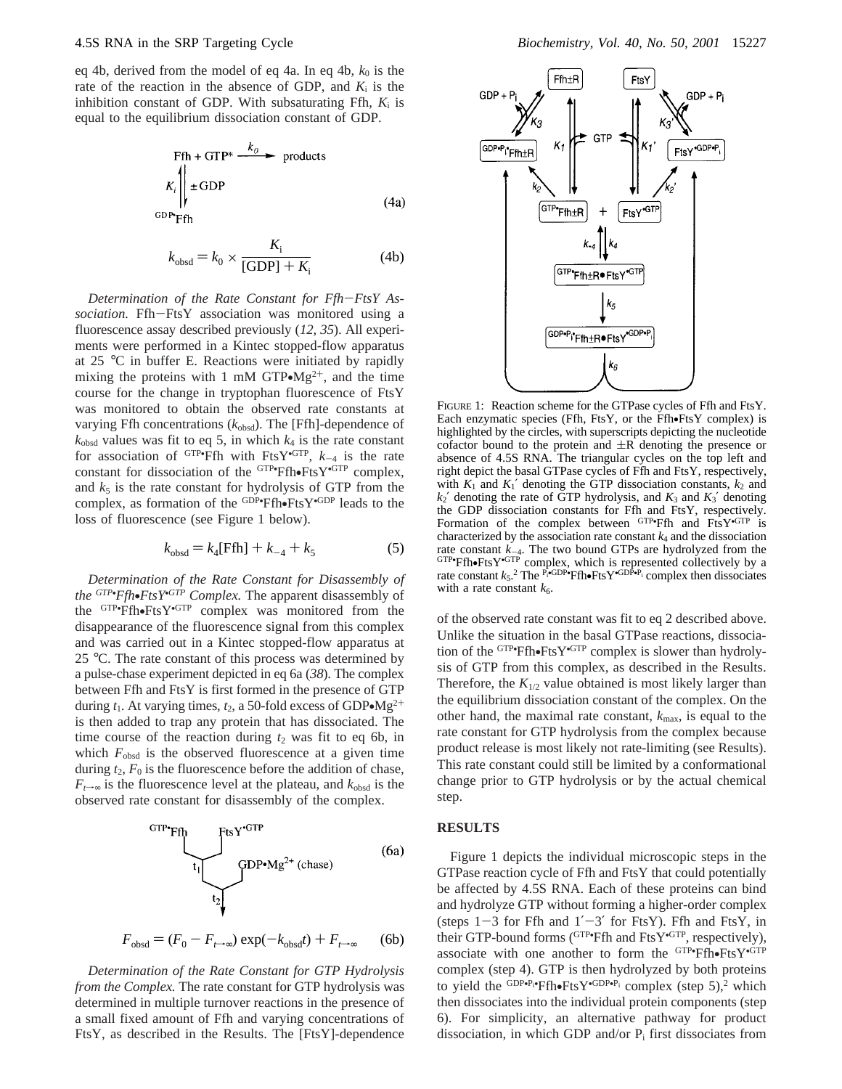eq 4b, derived from the model of eq 4a. In eq 4b,  $k_0$  is the rate of the reaction in the absence of GDP, and  $K_i$  is the inhibition constant of GDP. With subsaturating Ffh, *K*<sup>i</sup> is equal to the equilibrium dissociation constant of GDP.

$$
\text{Ffh} + \text{GTP*} \xrightarrow{k_0} \text{products}
$$
\n
$$
K_i \Bigg|_{\text{E} \text{GDP}} \xrightarrow{\text{GDP*}} \text{Ffh}
$$
\n
$$
(4a)
$$

$$
k_{\text{obsd}} = k_0 \times \frac{K_{\text{i}}}{\text{[GDP]} + K_{\text{i}}}
$$
 (4b)

*Determination of the Rate Constant for Ffh*-*FtsY Association.* Ffh-FtsY association was monitored using a fluorescence assay described previously (*12*, *35*). All experiments were performed in a Kintec stopped-flow apparatus at 25 °C in buffer E. Reactions were initiated by rapidly mixing the proteins with 1 mM GTP $-Mg^{2+}$ , and the time course for the change in tryptophan fluorescence of FtsY was monitored to obtain the observed rate constants at varying Ffh concentrations ( $k_{obsd}$ ). The [Ffh]-dependence of  $k_{\text{obsd}}$  values was fit to eq 5, in which  $k_4$  is the rate constant for association of  $GTP$ • $Ffh$  with  $FtsY$ • $GTP$ ,  $k_{-4}$  is the rate constant for dissociation of the  $GTP$ • $Ff$ h• $Ff$ s $Y$ • $GTP$  complex, and  $k_c$  is the rate constant for hydrolysis of GTP from the and  $k_5$  is the rate constant for hydrolysis of GTP from the complex, as formation of the <sup>GDP•</sup>Ffh•FtsY<sup>•GDP</sup> leads to the<br>loss of fluorescence (see Figure 1 below) loss of fluorescence (see Figure 1 below).

$$
k_{\text{obsd}} = k_4[\text{Ffh}] + k_{-4} + k_5 \tag{5}
$$

*Determination of the Rate Constant for Disassembly of the* <sup>*GTP•Ffh•FtsY*•<sup>*GTP</sup> Complex*. The apparent disassembly of the <sup>GTP•</sup>Ffh•FtsY•<sup>GTP</sup> complex was monitored from the</sup></sup> the  $GTP$ • $Ff$ h• $Ff$ s $Y$ • $GTP$  complex was monitored from the disappearance of the fluorescence signal from this complex disappearance of the fluorescence signal from this complex and was carried out in a Kintec stopped-flow apparatus at 25 °C. The rate constant of this process was determined by a pulse-chase experiment depicted in eq 6a (*38*). The complex between Ffh and FtsY is first formed in the presence of GTP during  $t_1$ . At varying times,  $t_2$ , a 50-fold excess of GDP $\bullet$ Mg<sup>2+</sup> is then added to trap any protein that has dissociated. The time course of the reaction during  $t_2$  was fit to eq 6b, in which  $F_{obsd}$  is the observed fluorescence at a given time during  $t_2$ ,  $F_0$  is the fluorescence before the addition of chase,  $F_{t→∞}$  is the fluorescence level at the plateau, and  $k_{obsd}$  is the observed rate constant for disassembly of the complex.



$$
F_{\text{obsd}} = (F_0 - F_{t \to \infty}) \exp(-k_{\text{obsd}}t) + F_{t \to \infty} \qquad (6b)
$$

*Determination of the Rate Constant for GTP Hydrolysis from the Complex.* The rate constant for GTP hydrolysis was determined in multiple turnover reactions in the presence of a small fixed amount of Ffh and varying concentrations of FtsY, as described in the Results. The [FtsY]-dependence



FIGURE 1: Reaction scheme for the GTPase cycles of Ffh and FtsY. Each enzymatic species (Ffh, FtsY, or the Ffh•FtsY complex) is highlighted by the circles, with superscripts depicting the nucleotide cofactor bound to the protein and  $\pm R$  denoting the presence or absence of 4.5S RNA. The triangular cycles on the top left and right depict the basal GTPase cycles of Ffh and FtsY, respectively, with  $K_1$  and  $K_1'$  denoting the GTP dissociation constants,  $k_2$  and  $k_2$ <sup>'</sup> denoting the rate of GTP hydrolysis, and  $K_3$  and  $K_3$ <sup>'</sup> denoting the GDP dissociation constants for Ffh and FtsY, respectively. Formation of the complex between GTP•Ffh and FtsY•GTP is characterized by the association rate constant  $k_4$  and the dissociation rate constant *k*<sub>-4</sub>. The two bound GTPs are hydrolyzed from the GTP•Ffh•FtsY•GTP complex, which is represented collectively by a rate constant *k*<sub>s</sub><sup>2</sup> The <sup>P</sup><sub>\*</sub>GDP•Ffh•FtsY•<sup>GDP•P<sub>i</sub></sub> complex then dissociates</sup> rate constant  $k_5$ .<sup>2</sup> The <sup>P<sub>i</sub>-GDP•</sup>Ffh•FtsY<sup>•GDP•P<sub>i</sub> complex then dissociates with a rate constant  $k_6$ .</sup> with a rate constant  $k_6$ .

of the observed rate constant was fit to eq 2 described above. Unlike the situation in the basal GTPase reactions, dissociation of the  $GTP$ -frih• $F$ ts $Y$ <sup>• $GTP$ </sup> complex is slower than hydroly-<br>sis of  $GTP$  from this complex, as described in the Results sis of GTP from this complex, as described in the Results. Therefore, the  $K_{1/2}$  value obtained is most likely larger than the equilibrium dissociation constant of the complex. On the other hand, the maximal rate constant,  $k_{\text{max}}$ , is equal to the rate constant for GTP hydrolysis from the complex because product release is most likely not rate-limiting (see Results). This rate constant could still be limited by a conformational change prior to GTP hydrolysis or by the actual chemical step.

## **RESULTS**

Figure 1 depicts the individual microscopic steps in the GTPase reaction cycle of Ffh and FtsY that could potentially be affected by 4.5S RNA. Each of these proteins can bind and hydrolyze GTP without forming a higher-order complex (steps  $1-3$  for Ffh and  $1'-3'$  for FtsY). Ffh and FtsY, in their GTP-bound forms (<sup>GTP•</sup>Ffh and FtsY<sup>•GTP</sup>, respectively), associate with one another to form the  $GTP$ • $Ff$ h• $FfsY$ • $GTP$ <br>complex (step 4)  $GTP$  is then hydrolyzed by both proteins complex (step 4). GTP is then hydrolyzed by both proteins to yield the  $\frac{GDP \cdot P_1 \cdot Ff}{P}$  for  $F$ ts  $Y^{\cdot GDP \cdot P_1}$  complex (step 5),<sup>2</sup> which then dissociates into the individual protein components (step 6). For simplicity, an alternative pathway for product dissociation, in which GDP and/or  $P_i$  first dissociates from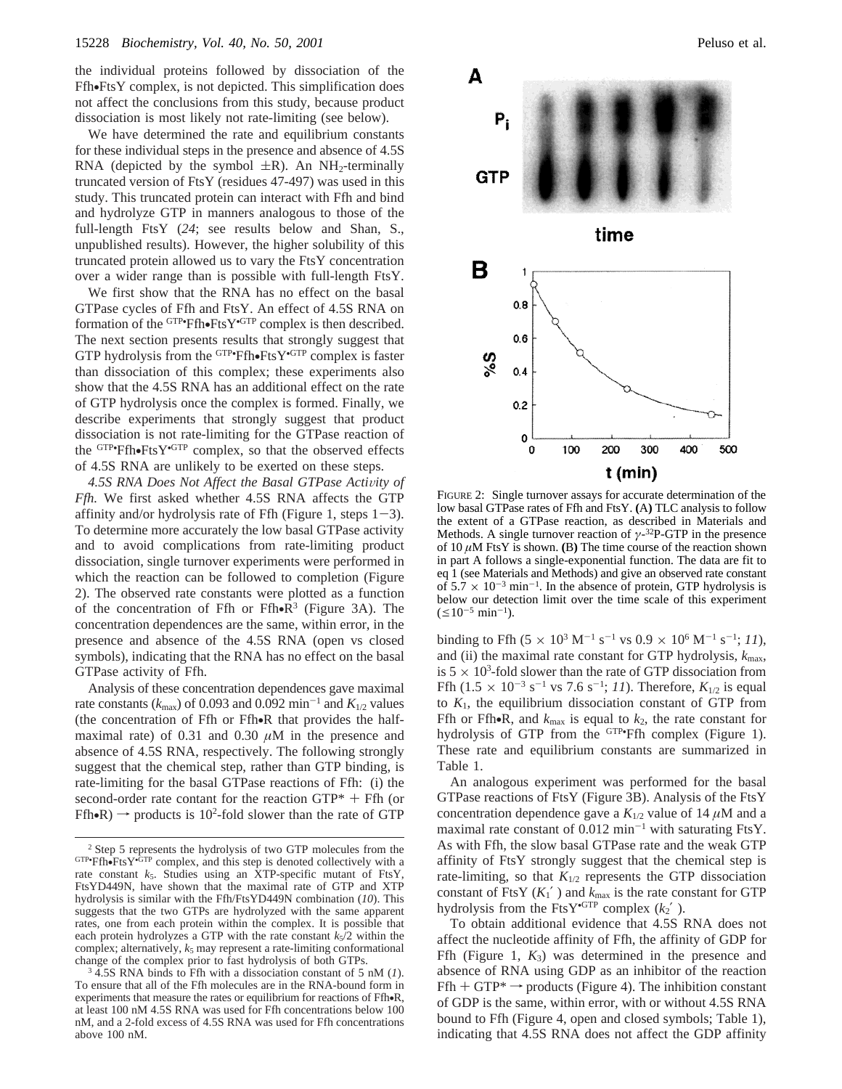the individual proteins followed by dissociation of the Ffh•FtsY complex, is not depicted. This simplification does not affect the conclusions from this study, because product dissociation is most likely not rate-limiting (see below).

We have determined the rate and equilibrium constants for these individual steps in the presence and absence of 4.5S RNA (depicted by the symbol  $\pm R$ ). An NH<sub>2</sub>-terminally truncated version of FtsY (residues 47-497) was used in this study. This truncated protein can interact with Ffh and bind and hydrolyze GTP in manners analogous to those of the full-length FtsY (*24*; see results below and Shan, S., unpublished results). However, the higher solubility of this truncated protein allowed us to vary the FtsY concentration over a wider range than is possible with full-length FtsY.

We first show that the RNA has no effect on the basal GTPase cycles of Ffh and FtsY. An effect of 4.5S RNA on formation of the <sup>GTP•</sup>Ffh•FtsY<sup>•GTP</sup> complex is then described.<br>The next section presents results that strongly suggest that The next section presents results that strongly suggest that GTP hydrolysis from the <sup>GTP•</sup>Ffh•FtsY<sup>•GTP</sup> complex is faster than dissociation of this complex: these experiments also than dissociation of this complex; these experiments also show that the 4.5S RNA has an additional effect on the rate of GTP hydrolysis once the complex is formed. Finally, we describe experiments that strongly suggest that product dissociation is not rate-limiting for the GTPase reaction of the  $GTP$ • $Ff$ h• $FtsY$ • $GTP$  complex, so that the observed effects of 4.5S RNA are unlikely to be exerted on these steps of 4.5S RNA are unlikely to be exerted on these steps.

4.5S RNA Does Not Affect the Basal GTPase Activity of *Ffh.* We first asked whether 4.5S RNA affects the GTP affinity and/or hydrolysis rate of Ffh (Figure 1, steps  $1-3$ ). To determine more accurately the low basal GTPase activity and to avoid complications from rate-limiting product dissociation, single turnover experiments were performed in which the reaction can be followed to completion (Figure 2). The observed rate constants were plotted as a function of the concentration of Ffh or Ffh• $R^3$  (Figure 3A). The concentration dependences are the same, within error, in the presence and absence of the 4.5S RNA (open vs closed symbols), indicating that the RNA has no effect on the basal GTPase activity of Ffh.

Analysis of these concentration dependences gave maximal rate constants ( $k_{\text{max}}$ ) of 0.093 and 0.092 min<sup>-1</sup> and  $K_{1/2}$  values (the concentration of Ffh or Ffh•R that provides the halfmaximal rate) of  $0.31$  and  $0.30 \mu M$  in the presence and absence of 4.5S RNA, respectively. The following strongly suggest that the chemical step, rather than GTP binding, is rate-limiting for the basal GTPase reactions of Ffh: (i) the second-order rate contant for the reaction  $GTP^* + FH$  (or  $Ffh\bullet R) \rightarrow$  products is 10<sup>2</sup>-fold slower than the rate of GTP



FIGURE 2: Single turnover assays for accurate determination of the low basal GTPase rates of Ffh and FtsY. **(**A**)** TLC analysis to follow the extent of a GTPase reaction, as described in Materials and Methods. A single turnover reaction of *γ*-32P-GTP in the presence of 10 *µ*M FtsY is shown. **(**B**)** The time course of the reaction shown in part A follows a single-exponential function. The data are fit to eq 1 (see Materials and Methods) and give an observed rate constant of  $5.7 \times 10^{-3}$  min<sup>-1</sup>. In the absence of protein, GTP hydrolysis is below our detection limit over the time scale of this experiment  $(\leq 10^{-5} \text{ min}^{-1}).$ 

binding to Ffh  $(5 \times 10^3 \text{ M}^{-1} \text{ s}^{-1} \text{ vs } 0.9 \times 10^6 \text{ M}^{-1} \text{ s}^{-1}; 11)$ , and (ii) the maximal rate constant for GTP hydrolysis,  $k_{\text{max}}$ , is  $5 \times 10^3$ -fold slower than the rate of GTP dissociation from Ffh  $(1.5 \times 10^{-3} \text{ s}^{-1} \text{ vs } 7.6 \text{ s}^{-1}; 11)$ . Therefore,  $K_{1/2}$  is equal to *K*1, the equilibrium dissociation constant of GTP from Ffh or Ffh•R, and  $k_{\text{max}}$  is equal to  $k_2$ , the rate constant for hydrolysis of GTP from the <sup>GTP•</sup>Ffh complex (Figure 1). These rate and equilibrium constants are summarized in Table 1.

An analogous experiment was performed for the basal GTPase reactions of FtsY (Figure 3B). Analysis of the FtsY concentration dependence gave a  $K_{1/2}$  value of 14  $\mu$ M and a maximal rate constant of  $0.012$  min<sup>-1</sup> with saturating FtsY. As with Ffh, the slow basal GTPase rate and the weak GTP affinity of FtsY strongly suggest that the chemical step is rate-limiting, so that  $K_{1/2}$  represents the GTP dissociation constant of FtsY  $(K_1)$  and  $k_{\text{max}}$  is the rate constant for GTP hydrolysis from the FtsY<sup>•GTP</sup> complex  $(k_2)$ .

To obtain additional evidence that 4.5S RNA does not affect the nucleotide affinity of Ffh, the affinity of GDP for Ffh (Figure 1, *K*3) was determined in the presence and absence of RNA using GDP as an inhibitor of the reaction Ffh + GTP<sup>\*</sup>  $\rightarrow$  products (Figure 4). The inhibition constant of GDP is the same, within error, with or without 4.5S RNA bound to Ffh (Figure 4, open and closed symbols; Table 1), indicating that 4.5S RNA does not affect the GDP affinity

<sup>&</sup>lt;sup>2</sup> Step 5 represents the hydrolysis of two GTP molecules from the  $GTP$ •Ffh•FtsY•GTP complex, and this step is denoted collectively with a rate constant  $k<sub>s</sub>$ . Studies using an XTP-specific mutant of FtsY. rate constant  $k_5$ . Studies using an XTP-specific mutant of FtsY, FtsYD449N, have shown that the maximal rate of GTP and XTP hydrolysis is similar with the Ffh/FtsYD449N combination (*10*). This suggests that the two GTPs are hydrolyzed with the same apparent rates, one from each protein within the complex. It is possible that each protein hydrolyzes a GTP with the rate constant  $k<sub>5</sub>/2$  within the complex; alternatively,  $k_5$  may represent a rate-limiting conformational change of the complex prior to fast hydrolysis of both GTPs.

<sup>3</sup> 4.5S RNA binds to Ffh with a dissociation constant of 5 nM (*1*). To ensure that all of the Ffh molecules are in the RNA-bound form in experiments that measure the rates or equilibrium for reactions of Ffh•R, at least 100 nM 4.5S RNA was used for Ffh concentrations below 100 nM, and a 2-fold excess of 4.5S RNA was used for Ffh concentrations above 100 nM.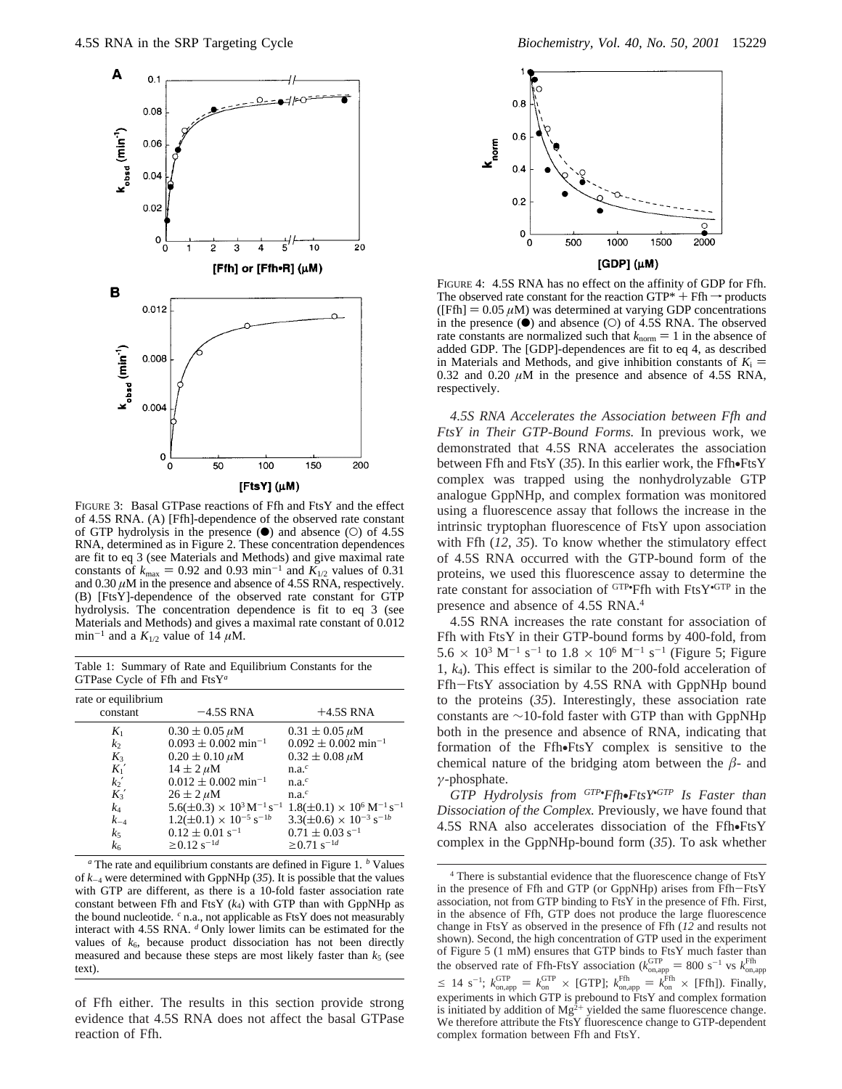

FIGURE 3: Basal GTPase reactions of Ffh and FtsY and the effect of 4.5S RNA. (A) [Ffh]-dependence of the observed rate constant of GTP hydrolysis in the presence  $(\bullet)$  and absence  $(\circ)$  of 4.5S RNA, determined as in Figure 2. These concentration dependences are fit to eq 3 (see Materials and Methods) and give maximal rate constants of  $k_{\text{max}} = 0.92$  and 0.93 min<sup>-1</sup> and  $K_{1/2}$  values of 0.31 and 0.30 *µ*M in the presence and absence of 4.5S RNA, respectively. (B) [FtsY]-dependence of the observed rate constant for GTP hydrolysis. The concentration dependence is fit to eq 3 (see Materials and Methods) and gives a maximal rate constant of 0.012 min<sup>-1</sup> and a  $K_{1/2}$  value of 14  $\mu$ M.

Table 1: Summary of Rate and Equilibrium Constants for the GTPase Cycle of Ffh and FtsY*<sup>a</sup>*

| $-4.5S$ RNA                                                                                                                 | $+4.5S$ RNA                                    |
|-----------------------------------------------------------------------------------------------------------------------------|------------------------------------------------|
| $0.30 \pm 0.05 \,\mu M$                                                                                                     | $0.31 \pm 0.05 \,\mu M$                        |
| $0.093 \pm 0.002$ min <sup>-1</sup>                                                                                         | $0.092 \pm 0.002$ min <sup>-1</sup>            |
| $0.20 \pm 0.10 \,\mu M$                                                                                                     | $0.32 \pm 0.08 \,\mu M$                        |
| $14 \pm 2 \,\mu M$                                                                                                          | $n.a.^c$                                       |
| $0.012 \pm 0.002$ min <sup>-1</sup>                                                                                         | $n.a.^c$                                       |
| $26 \pm 2 \mu M$                                                                                                            | $n.a.^c$                                       |
| $5.6(\pm 0.3) \times 10^3 \,\mathrm{M}^{-1}\,\mathrm{s}^{-1}$ $1.8(\pm 0.1) \times 10^6 \,\mathrm{M}^{-1}\,\mathrm{s}^{-1}$ |                                                |
|                                                                                                                             | $3.3(\pm 0.6) \times 10^{-3}$ s <sup>-1b</sup> |
| $0.12 \pm 0.01$ s <sup>-1</sup>                                                                                             | $0.71 \pm 0.03$ s <sup>-1</sup>                |
| $\geq$ 0.12 s <sup>-1d</sup>                                                                                                | $\geq$ 0.71 s <sup>-1d</sup>                   |
|                                                                                                                             | $1.2(\pm 0.1) \times 10^{-5}$ s <sup>-1b</sup> |

*<sup>a</sup>* The rate and equilibrium constants are defined in Figure 1. *<sup>b</sup>* Values of  $k_{-4}$  were determined with GppNHp (35). It is possible that the values with GTP are different, as there is a 10-fold faster association rate constant between Ffh and FtsY  $(k_4)$  with GTP than with GppNHp as the bound nucleotide. *<sup>c</sup>* n.a., not applicable as FtsY does not measurably interact with 4.5S RNA. *<sup>d</sup>* Only lower limits can be estimated for the values of  $k<sub>6</sub>$ , because product dissociation has not been directly measured and because these steps are most likely faster than  $k<sub>5</sub>$  (see text).

of Ffh either. The results in this section provide strong evidence that 4.5S RNA does not affect the basal GTPase reaction of Ffh.



FIGURE 4: 4.5S RNA has no effect on the affinity of GDP for Ffh. The observed rate constant for the reaction GTP\*  $+$  Ffh  $\rightarrow$  products ([Ffh]  $= 0.05 \mu M$ ) was determined at varying GDP concentrations in the presence  $(\bullet)$  and absence  $(\circ)$  of 4.5S RNA. The observed rate constants are normalized such that  $k_{\text{norm}} = 1$  in the absence of added GDP. The [GDP]-dependences are fit to eq 4, as described in Materials and Methods, and give inhibition constants of  $K_i$  = 0.32 and 0.20  $\mu$ M in the presence and absence of 4.5S RNA, respectively.

*4.5S RNA Accelerates the Association between Ffh and FtsY in Their GTP*-*Bound Forms.* In previous work, we demonstrated that 4.5S RNA accelerates the association between Ffh and FtsY (*35*). In this earlier work, the Ffh•FtsY complex was trapped using the nonhydrolyzable GTP analogue GppNHp, and complex formation was monitored using a fluorescence assay that follows the increase in the intrinsic tryptophan fluorescence of FtsY upon association with Ffh (*12*, *35*). To know whether the stimulatory effect of 4.5S RNA occurred with the GTP-bound form of the proteins, we used this fluorescence assay to determine the rate constant for association of  $GTP$ • $Ffh$  with  $FtsY$ • $GTP$  in the presence and absence of 4.5S RNA.4

4.5S RNA increases the rate constant for association of Ffh with FtsY in their GTP-bound forms by 400-fold, from  $5.6 \times 10^3$  M<sup>-1</sup> s<sup>-1</sup> to  $1.8 \times 10^6$  M<sup>-1</sup> s<sup>-1</sup> (Figure 5; Figure 1, *k*4). This effect is similar to the 200-fold acceleration of Ffh-FtsY association by 4.5S RNA with GppNHp bound to the proteins (*35*). Interestingly, these association rate constants are ∼10-fold faster with GTP than with GppNHp both in the presence and absence of RNA, indicating that formation of the Ffh•FtsY complex is sensitive to the chemical nature of the bridging atom between the  $\beta$ - and *γ*-phosphate.

*GTP Hydrolysis from GTP*• *Ffh*•*FtsY*•*GTP Is Faster than Dissociation of the Complex.* Previously, we have found that 4.5S RNA also accelerates dissociation of the Ffh•FtsY complex in the GppNHp-bound form (*35*). To ask whether

<sup>4</sup> There is substantial evidence that the fluorescence change of FtsY in the presence of Ffh and GTP (or GppNHp) arises from Ffh-FtsY association, not from GTP binding to FtsY in the presence of Ffh. First, in the absence of Ffh, GTP does not produce the large fluorescence change in FtsY as observed in the presence of Ffh (*12* and results not shown). Second, the high concentration of GTP used in the experiment of Figure 5 (1 mM) ensures that GTP binds to FtsY much faster than the observed rate of Ffh-FtsY association  $(k_{\text{on,app}}^{\text{GTP}} = 800 \text{ s}^{-1} \text{ vs } k_{\text{on,app}}^{\text{Ffh}}$  $\leq 14 \text{ s}^{-1}$ ;  $k_{\text{onapp}}^{\text{GTP}} = k_{\text{on}}^{\text{GTP}} \times \text{[GTP]}$ ;  $k_{\text{onamp}}^{\text{Ffh}} = k_{\text{on}}^{\text{Ffh}} \times \text{[Ffh]}$ ). Finally,<br>experiments in which GTP is probound to FteV and complex fermation experiments in which GTP is prebound to FtsY and complex formation is initiated by addition of  $Mg^{2+}$  yielded the same fluorescence change. We therefore attribute the FtsY fluorescence change to GTP-dependent complex formation between Ffh and FtsY.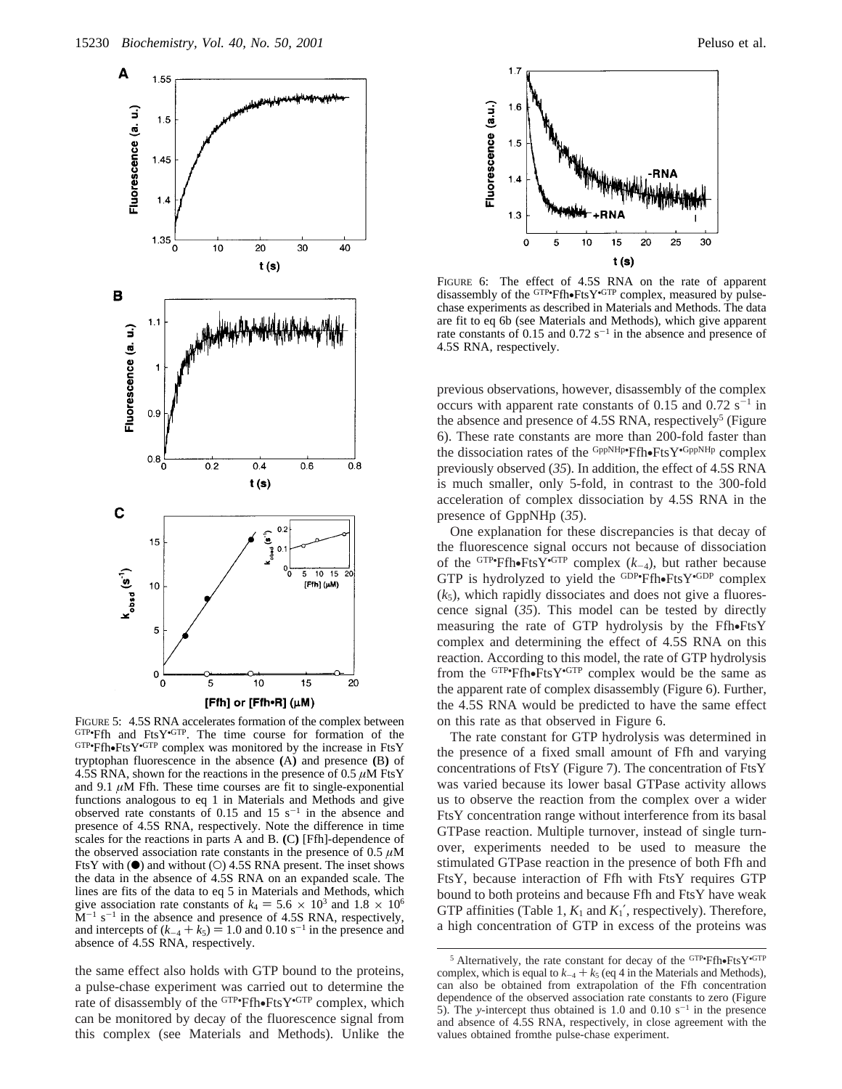

FIGURE 5: 4.5S RNA accelerates formation of the complex between  $GTP$ •Ffh and FtsY•GTP. The time course for formation of the  $GTP$ •Ffh•FtsY•GTP complex was monitored by the increase in FtsY  $GTP$ •Ffh•FtsY• $GTP$  complex was monitored by the increase in FtsY tryptophan fluorescence in the absence **(**A**)** and presence **(**B**)** of 4.5S RNA, shown for the reactions in the presence of 0.5 *µ*M FtsY and 9.1  $\mu$ M Ffh. These time courses are fit to single-exponential functions analogous to eq 1 in Materials and Methods and give observed rate constants of 0.15 and 15  $s^{-1}$  in the absence and presence of 4.5S RNA, respectively. Note the difference in time scales for the reactions in parts A and B. **(**C**)** [Ffh]-dependence of the observed association rate constants in the presence of  $0.5 \mu M$ FtsY with  $\Theta$  and without  $\Theta$  4.5S RNA present. The inset shows the data in the absence of 4.5S RNA on an expanded scale. The lines are fits of the data to eq 5 in Materials and Methods, which give association rate constants of  $k_4 = 5.6 \times 10^3$  and  $1.8 \times 10^6$  $M^{-1}$  s<sup>-1</sup> in the absence and presence of 4.5S RNA, respectively, and intercepts of  $(k_{-4} + k_5) = 1.0$  and 0.10 s<sup>-1</sup> in the presence and absence of 4.5S RNA, respectively.

the same effect also holds with GTP bound to the proteins, a pulse-chase experiment was carried out to determine the rate of disassembly of the <sup>GTP</sup>•Ffh•FtsY•<sup>GTP</sup> complex, which<br>can be monitored by decay of the fluorescence signal from can be monitored by decay of the fluorescence signal from this complex (see Materials and Methods). Unlike the



FIGURE 6: The effect of 4.5S RNA on the rate of apparent disassembly of the <sup>GTP•</sup>Ffh•FtsY•<sup>GTP</sup> complex, measured by pulse-<br>chase experiments as described in Materials and Methods. The data chase experiments as described in Materials and Methods. The data are fit to eq 6b (see Materials and Methods), which give apparent rate constants of 0.15 and 0.72  $s^{-1}$  in the absence and presence of 4.5S RNA, respectively.

previous observations, however, disassembly of the complex occurs with apparent rate constants of 0.15 and  $0.72 \text{ s}^{-1}$  in the absence and presence of 4.5S RNA, respectively<sup>5</sup> (Figure 6). These rate constants are more than 200-fold faster than the dissociation rates of the  $GppNHP$ • $Ffrb$ • $FtsY$ • $GppNHp$  complex<br>previously observed (35) In addition, the effect of 4.5S RNA previously observed (*35*). In addition, the effect of 4.5S RNA is much smaller, only 5-fold, in contrast to the 300-fold acceleration of complex dissociation by 4.5S RNA in the presence of GppNHp (*35*).

One explanation for these discrepancies is that decay of the fluorescence signal occurs not because of dissociation of the <sup>GTP•</sup>Ffh•FtsY<sup>•GTP</sup> complex  $(k_{-4})$ , but rather because<br>GTP is hydrolyzed to yield the <sup>GDP•</sup>Ffh•FtsY<sup>•GDP</sup> complex GTP is hydrolyzed to yield the  $GDP \cdot Ffh \cdot FtsY \cdot GDP$  complex  $(k_1)$  which rapidly dissociates and does not give a fluores- $(k_5)$ , which rapidly dissociates and does not give a fluorescence signal (*35*). This model can be tested by directly measuring the rate of GTP hydrolysis by the Ffh•FtsY complex and determining the effect of 4.5S RNA on this reaction. According to this model, the rate of GTP hydrolysis from the  $GTP$ •Ffh•Fts $Y$ • $GTP$  complex would be the same as the apparent rate of complex disassembly (Figure 6). Further the apparent rate of complex disassembly (Figure 6). Further, the 4.5S RNA would be predicted to have the same effect on this rate as that observed in Figure 6.

The rate constant for GTP hydrolysis was determined in the presence of a fixed small amount of Ffh and varying concentrations of FtsY (Figure 7). The concentration of FtsY was varied because its lower basal GTPase activity allows us to observe the reaction from the complex over a wider FtsY concentration range without interference from its basal GTPase reaction. Multiple turnover, instead of single turnover, experiments needed to be used to measure the stimulated GTPase reaction in the presence of both Ffh and FtsY, because interaction of Ffh with FtsY requires GTP bound to both proteins and because Ffh and FtsY have weak GTP affinities (Table 1,  $K_1$  and  $K_1'$ , respectively). Therefore, a high concentration of GTP in excess of the proteins was

<sup>&</sup>lt;sup>5</sup> Alternatively, the rate constant for decay of the <sup>GTP</sup><sup>•</sup>Ffh•FtsY<sup>•GTP</sup> notes that the Materials and Methods). complex, which is equal to  $k_{-4} + k_5$  (eq 4 in the Materials and Methods), can also be obtained from extrapolation of the Ffh concentration dependence of the observed association rate constants to zero (Figure 5). The *y*-intercept thus obtained is 1.0 and 0.10  $s^{-1}$  in the presence and absence of 4.5S RNA, respectively, in close agreement with the values obtained fromthe pulse-chase experiment.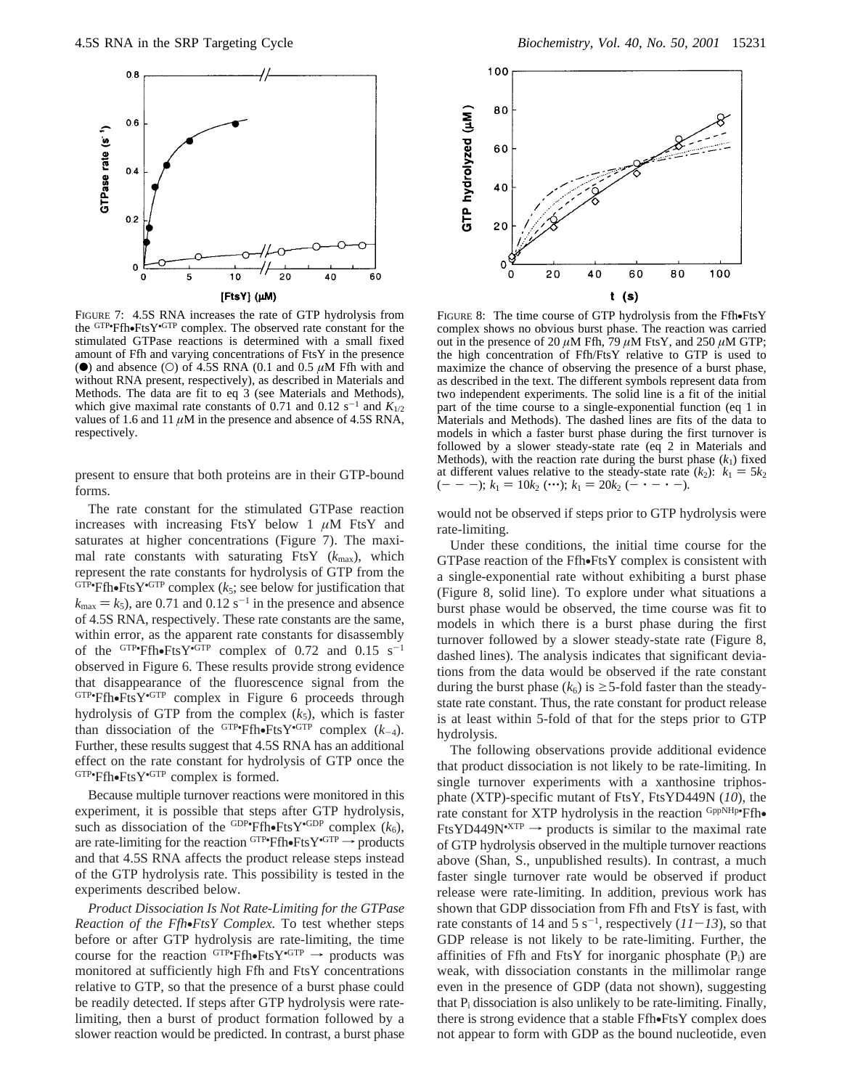

FIGURE 7: 4.5S RNA increases the rate of GTP hydrolysis from the <sup>GTP•</sup>Ffh•FtsY<sup>•GTP</sup> complex. The observed rate constant for the stimulated GTPase reactions is determined with a small fixed stimulated GTPase reactions is determined with a small fixed amount of Ffh and varying concentrations of FtsY in the presence ( $\bullet$ ) and absence ( $\circ$ ) of 4.5S RNA (0.1 and 0.5  $\mu$ M Ffh with and without RNA present, respectively), as described in Materials and Methods. The data are fit to eq 3 (see Materials and Methods), which give maximal rate constants of 0.71 and 0.12 s<sup>-1</sup> and  $K_{1/2}$ values of 1.6 and 11  $\mu$ M in the presence and absence of 4.5S RNA, respectively.

present to ensure that both proteins are in their GTP-bound forms.

The rate constant for the stimulated GTPase reaction increases with increasing FtsY below 1 *µ*M FtsY and saturates at higher concentrations (Figure 7). The maximal rate constants with saturating FtsY  $(k_{\text{max}})$ , which represent the rate constants for hydrolysis of GTP from the GTP•Ffh•FtsY•GTP complex ( $k_5$ ; see below for justification that  $k = k_0$ ) are 0.71 and 0.12 s<sup>-1</sup> in the presence and absence  $k_{\text{max}} = k_5$ , are 0.71 and 0.12 s<sup>-1</sup> in the presence and absence of 4.5S RNA, respectively. These rate constants are the same, within error, as the apparent rate constants for disassembly of the  $GTP$ • $Ff$ h• $FtsY$ • $GTP$  complex of 0.72 and 0.15 s<sup>-1</sup><br>observed in Figure 6. These results provide strong evidence observed in Figure 6. These results provide strong evidence that disappearance of the fluorescence signal from the  $GTP$ •Ffh•FtsY• $GTP$  complex in Figure 6 proceeds through by a hydrolysis of GTP from the complex  $(k_1)$  which is faster hydrolysis of GTP from the complex  $(k_5)$ , which is faster than dissociation of the <sup>GTP</sup><sup>•</sup>Ffh•FtsY<sup>•GTP</sup> complex  $(k_{-4})$ .<br>Further these results suggest that 4.5S RNA has an additional Further, these results suggest that 4.5S RNA has an additional effect on the rate constant for hydrolysis of GTP once the  $GTP \cdot \text{Ffh} \cdot \text{FtsY} \cdot \text{GTP}$  complex is formed.

Because multiple turnover reactions were monitored in this experiment, it is possible that steps after GTP hydrolysis, such as dissociation of the <sup>GDP•</sup>Ffh•FtsY<sup>•GDP</sup> complex  $(k_6)$ ,<br>are rate-limiting for the reaction  $GIP$ •Ffh•FtsY• $GIP \rightarrow$  products are rate-limiting for the reaction  $GTP \cdot Ff$ h $\cdot FfS \cdot F \cdot T$  products and that 4.5S RNA affects the product release steps instead and that 4.5S RNA affects the product release steps instead of the GTP hydrolysis rate. This possibility is tested in the experiments described below.

*Product Dissociation Is Not Rate*-*Limiting for the GTPase Reaction of the Ffh*•*FtsY Complex.* To test whether steps before or after GTP hydrolysis are rate-limiting, the time course for the reaction  $GTP \rightarrow Ff$ f  $F$ <sup>GTP</sup>  $\rightarrow$  products was monitored at sufficiently high Ffh and FtsY concentrations monitored at sufficiently high Ffh and FtsY concentrations relative to GTP, so that the presence of a burst phase could be readily detected. If steps after GTP hydrolysis were ratelimiting, then a burst of product formation followed by a slower reaction would be predicted. In contrast, a burst phase



FIGURE 8: The time course of GTP hydrolysis from the Ffh•FtsY complex shows no obvious burst phase. The reaction was carried out in the presence of 20  $\mu$ M Ffh, 79  $\mu$ M FtsY, and 250  $\mu$ M GTP; the high concentration of Ffh/FtsY relative to GTP is used to maximize the chance of observing the presence of a burst phase, as described in the text. The different symbols represent data from two independent experiments. The solid line is a fit of the initial part of the time course to a single-exponential function (eq 1 in Materials and Methods). The dashed lines are fits of the data to models in which a faster burst phase during the first turnover is followed by a slower steady-state rate (eq 2 in Materials and Methods), with the reaction rate during the burst phase  $(k_1)$  fixed at different values relative to the steady-state rate  $(k_2)$ :  $k_1 = 5k_2$  $(- - -); k_1 = 10k_2$  (…);  $k_1 = 20k_2$  ( $- \cdot - \cdot -$ ).

would not be observed if steps prior to GTP hydrolysis were rate-limiting.

Under these conditions, the initial time course for the GTPase reaction of the Ffh•FtsY complex is consistent with a single-exponential rate without exhibiting a burst phase (Figure 8, solid line). To explore under what situations a burst phase would be observed, the time course was fit to models in which there is a burst phase during the first turnover followed by a slower steady-state rate (Figure 8, dashed lines). The analysis indicates that significant deviations from the data would be observed if the rate constant during the burst phase  $(k_6)$  is  $\geq$  5-fold faster than the steadystate rate constant. Thus, the rate constant for product release is at least within 5-fold of that for the steps prior to GTP hydrolysis.

The following observations provide additional evidence that product dissociation is not likely to be rate-limiting. In single turnover experiments with a xanthosine triphosphate (XTP)-specific mutant of FtsY, FtsYD449N (*10*), the rate constant for XTP hydrolysis in the reaction GppNHp•Ffh• rate constant for XTP hydrolysis in the reaction <sup>GppNHp•</sup>Ffh•<br>FtsYD449N<sup>•XTP</sup>  $\rightarrow$  products is similar to the maximal rate of GTP hydrolysis observed in the multiple turnover reactions above (Shan, S., unpublished results). In contrast, a much faster single turnover rate would be observed if product release were rate-limiting. In addition, previous work has shown that GDP dissociation from Ffh and FtsY is fast, with rate constants of 14 and 5 s<sup>-1</sup>, respectively  $(11-13)$ , so that GDP release is not likely to be rate-limiting. Further, the GDP release is not likely to be rate-limiting. Further, the affinities of Ffh and FtsY for inorganic phosphate  $(P_i)$  are weak, with dissociation constants in the millimolar range even in the presence of GDP (data not shown), suggesting that  $P_i$  dissociation is also unlikely to be rate-limiting. Finally, there is strong evidence that a stable Ffh•FtsY complex does not appear to form with GDP as the bound nucleotide, even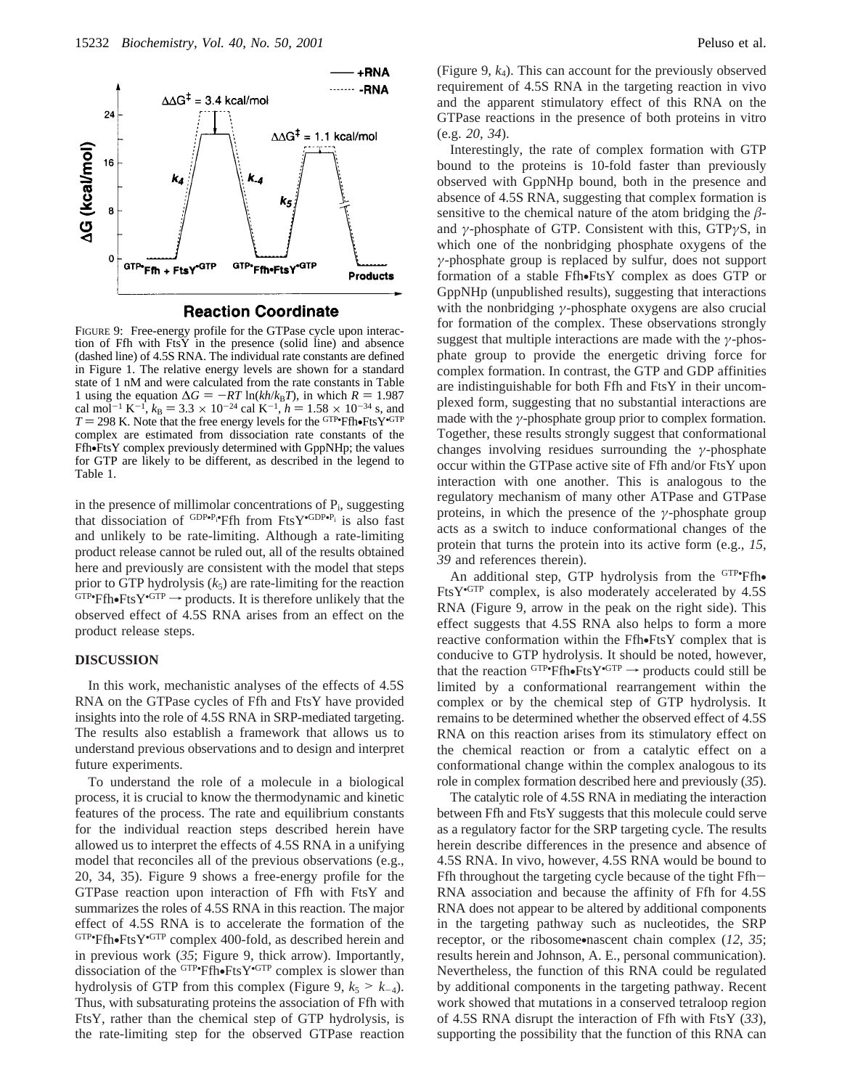

**Reaction Coordinate** 

FIGURE 9: Free-energy profile for the GTPase cycle upon interaction of Ffh with  $FtsY$  in the presence (solid line) and absence (dashed line) of 4.5S RNA. The individual rate constants are defined in Figure 1. The relative energy levels are shown for a standard state of 1 nM and were calculated from the rate constants in Table 1 using the equation  $\Delta G = -RT \ln(kh/k_B T)$ , in which  $R = 1.987$ <br>cal mol<sup>-1</sup> K<sup>-1</sup>,  $k_B = 3.3 \times 10^{-24}$  cal K<sup>-1</sup>,  $h = 1.58 \times 10^{-34}$  s, and cal mol<sup>-1</sup> K<sup>-1</sup>,  $k_B = 3.3 \times 10^{-24}$  cal K<sup>-1</sup>,  $h = 1.58 \times 10^{-34}$  s, and  $T = 298$  K. Note that the free energy levels for the GTP FfhoFtsY GTP  $T = 298$  K. Note that the free energy levels for the  $GTP$ **-Fin**•FtsY• $GTP$  complex are estimated from dissociation rate constants of the complex are estimated from dissociation rate constants of the Ffh•FtsY complex previously determined with GppNHp; the values for GTP are likely to be different, as described in the legend to Table 1.

in the presence of millimolar concentrations of  $P_i$ , suggesting that dissociation of  $GDP \cdot P_1 \cdot Ffh$  from  $FtsY \cdot GDP \cdot P_i$  is also fast and unlikely to be rate-limiting. Although a rate-limiting product release cannot be ruled out, all of the results obtained here and previously are consistent with the model that steps prior to GTP hydrolysis  $(k_5)$  are rate-limiting for the reaction  $GTP$ • $Ffh$ • $FtsY$ • $GTP$   $\rightarrow$  products. It is therefore unlikely that the observed effect of 4.58 RNA arises from an effect on the observed effect of 4.5S RNA arises from an effect on the product release steps.

## **DISCUSSION**

In this work, mechanistic analyses of the effects of 4.5S RNA on the GTPase cycles of Ffh and FtsY have provided insights into the role of 4.5S RNA in SRP-mediated targeting. The results also establish a framework that allows us to understand previous observations and to design and interpret future experiments.

To understand the role of a molecule in a biological process, it is crucial to know the thermodynamic and kinetic features of the process. The rate and equilibrium constants for the individual reaction steps described herein have allowed us to interpret the effects of 4.5S RNA in a unifying model that reconciles all of the previous observations (e.g., 20, 34, 35). Figure 9 shows a free-energy profile for the GTPase reaction upon interaction of Ffh with FtsY and summarizes the roles of 4.5S RNA in this reaction. The major effect of 4.5S RNA is to accelerate the formation of the  $GTP$ •Ffh•FtsY• $GTP$  complex 400-fold, as described herein and<br>in previous work (35; Figure 9, thick arrow) Importantly in previous work (*35*; Figure 9, thick arrow). Importantly, dissociation of the <sup>GTP</sup>•Ffh•FtsY<sup>•GTP</sup> complex is slower than<br>hydrolysis of GTP from this complex (Figure 9,  $k_0 > k_0$ ) hydrolysis of GTP from this complex (Figure 9,  $k_5 > k_{-4}$ ). Thus, with subsaturating proteins the association of Ffh with FtsY, rather than the chemical step of GTP hydrolysis, is the rate-limiting step for the observed GTPase reaction

(Figure 9, *k*4). This can account for the previously observed requirement of 4.5S RNA in the targeting reaction in vivo and the apparent stimulatory effect of this RNA on the GTPase reactions in the presence of both proteins in vitro (e.g. *20*, *34*).

Interestingly, the rate of complex formation with GTP bound to the proteins is 10-fold faster than previously observed with GppNHp bound, both in the presence and absence of 4.5S RNA, suggesting that complex formation is sensitive to the chemical nature of the atom bridging the  $\beta$ and *γ*-phosphate of GTP. Consistent with this, GTP*γ*S, in which one of the nonbridging phosphate oxygens of the *γ*-phosphate group is replaced by sulfur, does not support formation of a stable Ffh•FtsY complex as does GTP or GppNHp (unpublished results), suggesting that interactions with the nonbridging *γ*-phosphate oxygens are also crucial for formation of the complex. These observations strongly suggest that multiple interactions are made with the *γ*-phosphate group to provide the energetic driving force for complex formation. In contrast, the GTP and GDP affinities are indistinguishable for both Ffh and FtsY in their uncomplexed form, suggesting that no substantial interactions are made with the  $\gamma$ -phosphate group prior to complex formation. Together, these results strongly suggest that conformational changes involving residues surrounding the *γ*-phosphate occur within the GTPase active site of Ffh and/or FtsY upon interaction with one another. This is analogous to the regulatory mechanism of many other ATPase and GTPase proteins, in which the presence of the *γ*-phosphate group acts as a switch to induce conformational changes of the protein that turns the protein into its active form (e.g., *15*, *39* and references therein).

An additional step, GTP hydrolysis from the  $GTP$ **Ffh**•<br>s $Y^{\text{GTP}}$  complex is also moderately accelerated by 4.5S FtsY•GTP complex, is also moderately accelerated by 4.5S RNA (Figure 9, arrow in the peak on the right side). This effect suggests that 4.5S RNA also helps to form a more reactive conformation within the Ffh•FtsY complex that is conducive to GTP hydrolysis. It should be noted, however, that the reaction  $GTP \cdot FH \cdot F$  fis  $Y \cdot GTP \rightarrow$  products could still be limited by a conformational rearrangement within the limited by a conformational rearrangement within the complex or by the chemical step of GTP hydrolysis. It remains to be determined whether the observed effect of 4.5S RNA on this reaction arises from its stimulatory effect on the chemical reaction or from a catalytic effect on a conformational change within the complex analogous to its role in complex formation described here and previously (*35*).

The catalytic role of 4.5S RNA in mediating the interaction between Ffh and FtsY suggests that this molecule could serve as a regulatory factor for the SRP targeting cycle. The results herein describe differences in the presence and absence of 4.5S RNA. In vivo, however, 4.5S RNA would be bound to Ffh throughout the targeting cycle because of the tight Ffh-RNA association and because the affinity of Ffh for 4.5S RNA does not appear to be altered by additional components in the targeting pathway such as nucleotides, the SRP receptor, or the ribosome•nascent chain complex (*12*, *<sup>35</sup>*; results herein and Johnson, A. E., personal communication). Nevertheless, the function of this RNA could be regulated by additional components in the targeting pathway. Recent work showed that mutations in a conserved tetraloop region of 4.5S RNA disrupt the interaction of Ffh with FtsY (*33*), supporting the possibility that the function of this RNA can